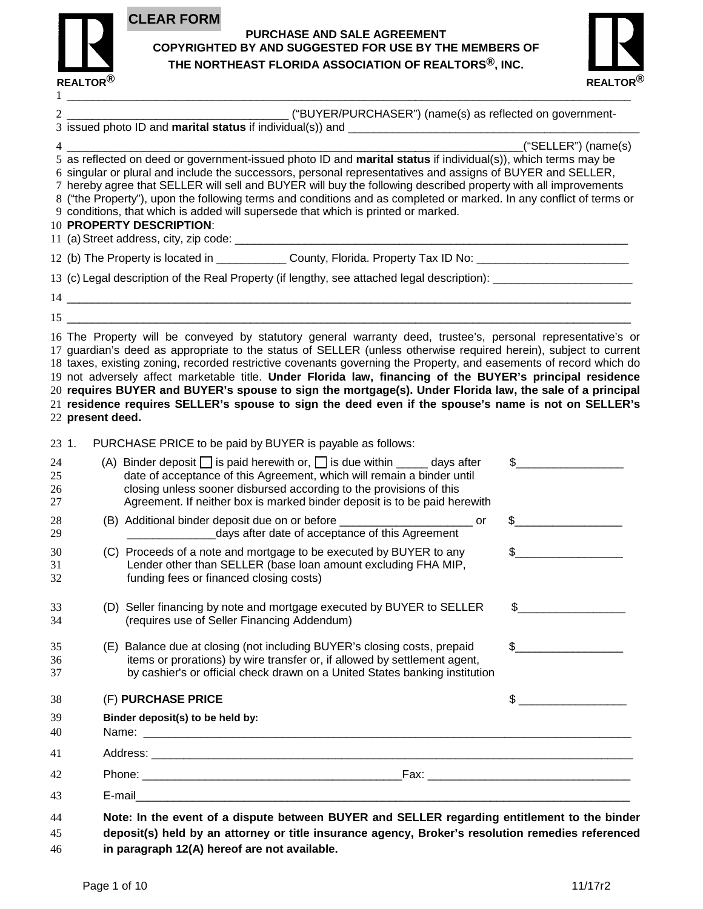

## **PURCHASE AND SALE AGREEMENT COPYRIGHTED BY AND SUGGESTED FOR USE BY THE MEMBERS OF THE NORTHEAST FLORIDA ASSOCIATION OF REALTORS®, INC.**



|                  | Binder deposit(s) to be held by:                                                                                                                                                                                                                                                                                                                                                                                                                                                                                                                                                                                                    |                                                                                                                                                                                                                                                                                                                                                                               |
|------------------|-------------------------------------------------------------------------------------------------------------------------------------------------------------------------------------------------------------------------------------------------------------------------------------------------------------------------------------------------------------------------------------------------------------------------------------------------------------------------------------------------------------------------------------------------------------------------------------------------------------------------------------|-------------------------------------------------------------------------------------------------------------------------------------------------------------------------------------------------------------------------------------------------------------------------------------------------------------------------------------------------------------------------------|
|                  | (E) Balance due at closing (not including BUYER's closing costs, prepaid<br>items or prorations) by wire transfer or, if allowed by settlement agent,<br>by cashier's or official check drawn on a United States banking institution<br>(F) PURCHASE PRICE                                                                                                                                                                                                                                                                                                                                                                          | $\sim$<br>$\begin{picture}(20,10) \put(0,0){\vector(1,0){100}} \put(15,0){\vector(1,0){100}} \put(15,0){\vector(1,0){100}} \put(15,0){\vector(1,0){100}} \put(15,0){\vector(1,0){100}} \put(15,0){\vector(1,0){100}} \put(15,0){\vector(1,0){100}} \put(15,0){\vector(1,0){100}} \put(15,0){\vector(1,0){100}} \put(15,0){\vector(1,0){100}} \put(15,0){\vector(1,0){100}} \$ |
|                  | (D) Seller financing by note and mortgage executed by BUYER to SELLER \$<br>(requires use of Seller Financing Addendum)                                                                                                                                                                                                                                                                                                                                                                                                                                                                                                             |                                                                                                                                                                                                                                                                                                                                                                               |
|                  | (C) Proceeds of a note and mortgage to be executed by BUYER to any<br>Lender other than SELLER (base loan amount excluding FHA MIP,<br>funding fees or financed closing costs)                                                                                                                                                                                                                                                                                                                                                                                                                                                      | $\frac{1}{2}$                                                                                                                                                                                                                                                                                                                                                                 |
|                  | (B) Additional binder deposit due on or before _______________________________or<br>_______________________days after date of acceptance of this Agreement                                                                                                                                                                                                                                                                                                                                                                                                                                                                          |                                                                                                                                                                                                                                                                                                                                                                               |
|                  | (A) Binder deposit $\Box$ is paid herewith or, $\Box$ is due within $\Box$ days after<br>date of acceptance of this Agreement, which will remain a binder until<br>closing unless sooner disbursed according to the provisions of this<br>Agreement. If neither box is marked binder deposit is to be paid herewith                                                                                                                                                                                                                                                                                                                 | $\frac{1}{2}$                                                                                                                                                                                                                                                                                                                                                                 |
| 22 present deed. | 17 guardian's deed as appropriate to the status of SELLER (unless otherwise required herein), subject to current<br>18 taxes, existing zoning, recorded restrictive covenants governing the Property, and easements of record which do<br>19 not adversely affect marketable title. Under Florida law, financing of the BUYER's principal residence<br>20 requires BUYER and BUYER's spouse to sign the mortgage(s). Under Florida law, the sale of a principal<br>21 residence requires SELLER's spouse to sign the deed even if the spouse's name is not on SELLER's<br>PURCHASE PRICE to be paid by BUYER is payable as follows: |                                                                                                                                                                                                                                                                                                                                                                               |
|                  | $15$ $\overline{\phantom{a}}$<br>16 The Property will be conveyed by statutory general warranty deed, trustee's, personal representative's or                                                                                                                                                                                                                                                                                                                                                                                                                                                                                       |                                                                                                                                                                                                                                                                                                                                                                               |
|                  |                                                                                                                                                                                                                                                                                                                                                                                                                                                                                                                                                                                                                                     |                                                                                                                                                                                                                                                                                                                                                                               |
|                  | 13 (c) Legal description of the Real Property (if lengthy, see attached legal description): __________________                                                                                                                                                                                                                                                                                                                                                                                                                                                                                                                      |                                                                                                                                                                                                                                                                                                                                                                               |
|                  | 12 (b) The Property is located in _______________ County, Florida. Property Tax ID No: _______________________                                                                                                                                                                                                                                                                                                                                                                                                                                                                                                                      |                                                                                                                                                                                                                                                                                                                                                                               |
|                  | 6 singular or plural and include the successors, personal representatives and assigns of BUYER and SELLER,<br>7 hereby agree that SELLER will sell and BUYER will buy the following described property with all improvements<br>8 ("the Property"), upon the following terms and conditions and as completed or marked. In any conflict of terms or<br>9 conditions, that which is added will supersede that which is printed or marked.<br>10 PROPERTY DESCRIPTION:                                                                                                                                                                |                                                                                                                                                                                                                                                                                                                                                                               |
|                  |                                                                                                                                                                                                                                                                                                                                                                                                                                                                                                                                                                                                                                     | ("SELLER") (name(s)                                                                                                                                                                                                                                                                                                                                                           |
|                  |                                                                                                                                                                                                                                                                                                                                                                                                                                                                                                                                                                                                                                     |                                                                                                                                                                                                                                                                                                                                                                               |
|                  |                                                                                                                                                                                                                                                                                                                                                                                                                                                                                                                                                                                                                                     |                                                                                                                                                                                                                                                                                                                                                                               |

**in paragraph 12(A) hereof are not available.**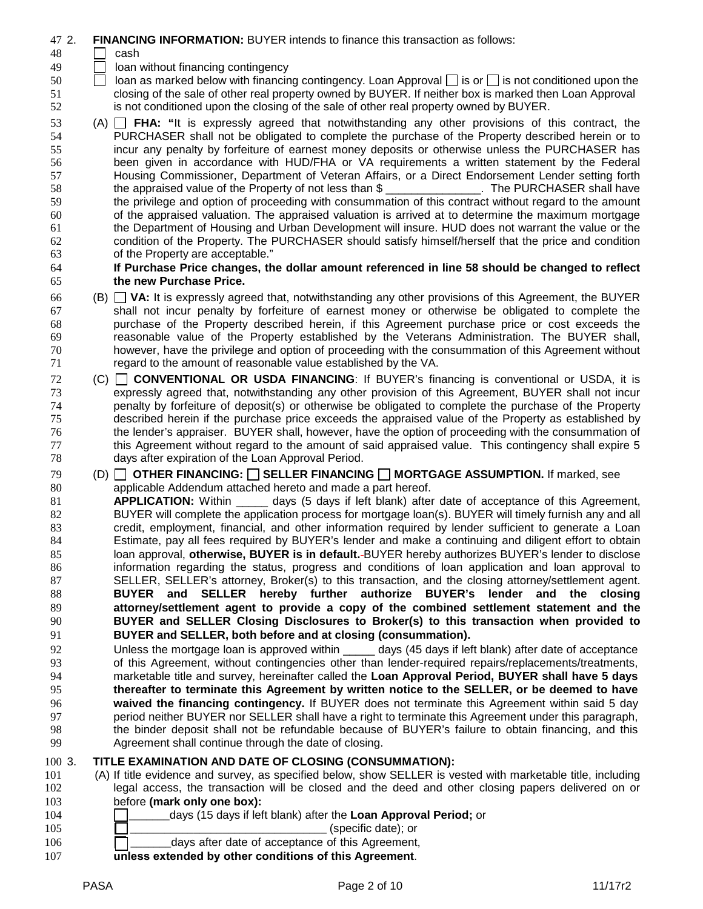- 2. **FINANCING INFORMATION:** BUYER intends to finance this transaction as follows:
- cash
- $\Box$  loan without financing contingency
- **i** loan as marked below with financing contingency. Loan Approval is or is not conditioned upon the closing of the sale of other real property owned by BUYER. If neither box is marked then Loan Approval is not conditioned upon the closing of the sale of other real property owned by BUYER.
- (A) **FHA: "**It is expressly agreed that notwithstanding any other provisions of this contract, the PURCHASER shall not be obligated to complete the purchase of the Property described herein or to incur any penalty by forfeiture of earnest money deposits or otherwise unless the PURCHASER has been given in accordance with HUD/FHA or VA requirements a written statement by the Federal 57 Housing Commissioner, Department of Veteran Affairs, or a Direct Endorsement Lender setting forth<br>58 the appraised value of the Property of not less than \$ \_\_\_\_\_\_\_\_\_\_\_\_\_\_\_\_. The PURCHASER shall have the appraised value of the Property of not less than \$ \_\_\_\_\_\_\_\_\_\_\_\_\_\_\_. The PURCHASER shall have the privilege and option of proceeding with consummation of this contract without regard to the amount of the appraised valuation. The appraised valuation is arrived at to determine the maximum mortgage the Department of Housing and Urban Development will insure. HUD does not warrant the value or the condition of the Property. The PURCHASER should satisfy himself/herself that the price and condition of the Property are acceptable."

## **If Purchase Price changes, the dollar amount referenced in line 58 should be changed to reflect the new Purchase Price.**

- (B) **VA:** It is expressly agreed that, notwithstanding any other provisions of this Agreement, the BUYER shall not incur penalty by forfeiture of earnest money or otherwise be obligated to complete the purchase of the Property described herein, if this Agreement purchase price or cost exceeds the reasonable value of the Property established by the Veterans Administration. The BUYER shall, however, have the privilege and option of proceeding with the consummation of this Agreement without regard to the amount of reasonable value established by the VA.
- (C) **CONVENTIONAL OR USDA FINANCING**: If BUYER's financing is conventional or USDA, it is expressly agreed that, notwithstanding any other provision of this Agreement, BUYER shall not incur penalty by forfeiture of deposit(s) or otherwise be obligated to complete the purchase of the Property described herein if the purchase price exceeds the appraised value of the Property as established by the lender's appraiser. BUYER shall, however, have the option of proceeding with the consummation of this Agreement without regard to the amount of said appraised value. This contingency shall expire 5 days after expiration of the Loan Approval Period.
- (D) **OTHER FINANCING: SELLER FINANCING MORTGAGE ASSUMPTION.** If marked, see applicable Addendum attached hereto and made a part hereof.
- **APPLICATION:** Within days (5 days if left blank) after date of acceptance of this Agreement, 82 BUYER will complete the application process for mortgage loan(s). BUYER will timely furnish any and all credit, employment, financial, and other information required by lender sufficient to generate a Loan Estimate, pay all fees required by BUYER's lender and make a continuing and diligent effort to obtain loan approval, **otherwise, BUYER is in default.** BUYER hereby authorizes BUYER's lender to disclose information regarding the status, progress and conditions of loan application and loan approval to SELLER, SELLER's attorney, Broker(s) to this transaction, and the closing attorney/settlement agent. **BUYER and SELLER hereby further authorize BUYER's lender and the closing attorney/settlement agent to provide a copy of the combined settlement statement and the BUYER and SELLER Closing Disclosures to Broker(s) to this transaction when provided to BUYER and SELLER, both before and at closing (consummation).**
- 92 Unless the mortgage loan is approved within \_\_\_\_\_ days (45 days if left blank) after date of acceptance<br>93 of this Agreement, without contingencies other than lender-required repairs/replacements/treatments, of this Agreement, without contingencies other than lender-required repairs/replacements/treatments, marketable title and survey, hereinafter called the **Loan Approval Period, BUYER shall have 5 days thereafter to terminate this Agreement by written notice to the SELLER, or be deemed to have waived the financing contingency.** If BUYER does not terminate this Agreement within said 5 day period neither BUYER nor SELLER shall have a right to terminate this Agreement under this paragraph, the binder deposit shall not be refundable because of BUYER's failure to obtain financing, and this Agreement shall continue through the date of closing.

# 3. **TITLE EXAMINATION AND DATE OF CLOSING (CONSUMMATION):**

- (A) If title evidence and survey, as specified below, show SELLER is vested with marketable title, including legal access, the transaction will be closed and the deed and other closing papers delivered on or before **(mark only one box):** \_\_\_\_\_\_\_days (15 days if left blank) after the **Loan Approval Period;** or
- 105  $\Box$  (specific date); or  $\Box$  days after date of acceptance of this Agreement,
- **unless extended by other conditions of this Agreement**.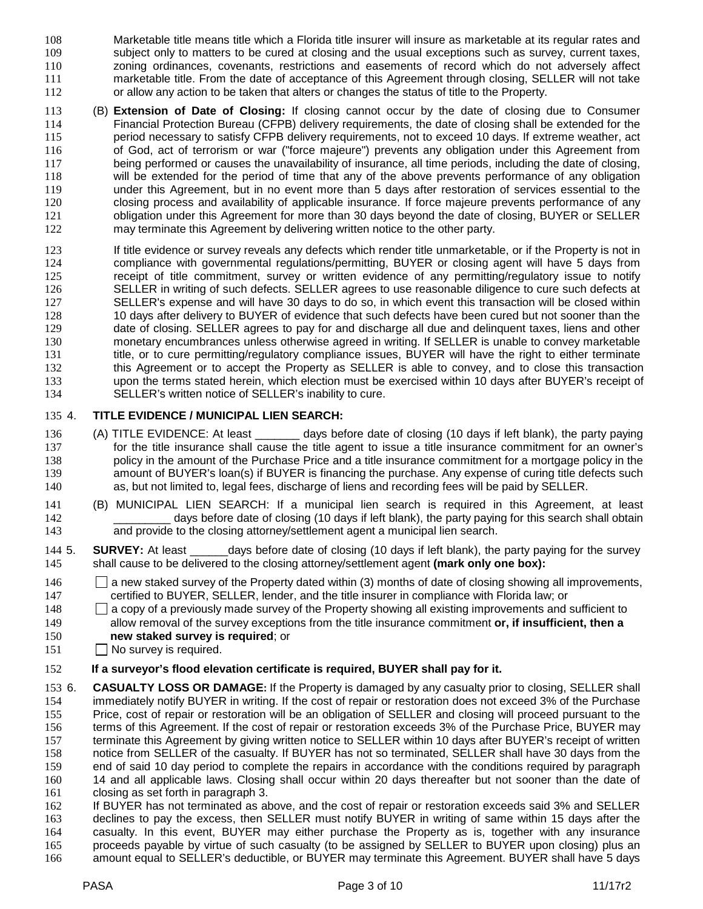- Marketable title means title which a Florida title insurer will insure as marketable at its regular rates and subject only to matters to be cured at closing and the usual exceptions such as survey, current taxes, zoning ordinances, covenants, restrictions and easements of record which do not adversely affect marketable title. From the date of acceptance of this Agreement through closing, SELLER will not take or allow any action to be taken that alters or changes the status of title to the Property.
- (B) **Extension of Date of Closing:** If closing cannot occur by the date of closing due to Consumer Financial Protection Bureau (CFPB) delivery requirements, the date of closing shall be extended for the period necessary to satisfy CFPB delivery requirements, not to exceed 10 days. If extreme weather, act of God, act of terrorism or war ("force majeure") prevents any obligation under this Agreement from being performed or causes the unavailability of insurance, all time periods, including the date of closing, will be extended for the period of time that any of the above prevents performance of any obligation under this Agreement, but in no event more than 5 days after restoration of services essential to the closing process and availability of applicable insurance. If force majeure prevents performance of any obligation under this Agreement for more than 30 days beyond the date of closing, BUYER or SELLER may terminate this Agreement by delivering written notice to the other party.
- If title evidence or survey reveals any defects which render title unmarketable, or if the Property is not in compliance with governmental regulations/permitting, BUYER or closing agent will have 5 days from receipt of title commitment, survey or written evidence of any permitting/regulatory issue to notify SELLER in writing of such defects. SELLER agrees to use reasonable diligence to cure such defects at SELLER's expense and will have 30 days to do so, in which event this transaction will be closed within 10 days after delivery to BUYER of evidence that such defects have been cured but not sooner than the date of closing. SELLER agrees to pay for and discharge all due and delinquent taxes, liens and other monetary encumbrances unless otherwise agreed in writing. If SELLER is unable to convey marketable title, or to cure permitting/regulatory compliance issues, BUYER will have the right to either terminate this Agreement or to accept the Property as SELLER is able to convey, and to close this transaction upon the terms stated herein, which election must be exercised within 10 days after BUYER's receipt of SELLER's written notice of SELLER's inability to cure.

## 4. **TITLE EVIDENCE / MUNICIPAL LIEN SEARCH:**

- (A) TITLE EVIDENCE: At least \_\_\_\_\_\_\_ days before date of closing (10 days if left blank), the party paying 137 for the title insurance shall cause the title agent to issue a title insurance commitment for an owner's 138 policy in the amount of the Purchase Price and a title insurance commitment for a mortgage policy in the 139 amount of BUYER's loan(s) if BUYER is financing the purchase. Any expense of curing title defects such as, but not limited to, legal fees, discharge of liens and recording fees will be paid by SELLER.
- (B) MUNICIPAL LIEN SEARCH: If a municipal lien search is required in this Agreement, at least \_\_\_\_\_\_\_\_\_ days before date of closing (10 days if left blank), the party paying for this search shall obtain and provide to the closing attorney/settlement agent a municipal lien search.
- 5. **SURVEY:** At least \_\_\_\_\_\_days before date of closing (10 days if left blank), the party paying for the survey shall cause to be delivered to the closing attorney/settlement agent **(mark only one box):**
- 146 a new staked survey of the Property dated within (3) months of date of closing showing all improvements, certified to BUYER, SELLER, lender, and the title insurer in compliance with Florida law; or
- 148 a copy of a previously made survey of the Property showing all existing improvements and sufficient to allow removal of the survey exceptions from the title insurance commitment **or, if insufficient, then a**
- **new staked survey is required**; or
- **No survey is required.**

## **If a surveyor's flood elevation certificate is required, BUYER shall pay for it.**

- 6. **CASUALTY LOSS OR DAMAGE:** If the Property is damaged by any casualty prior to closing, SELLER shall 154 immediately notify BUYER in writing. If the cost of repair or restoration does not exceed 3% of the Purchase<br>155 Price, cost of repair or restoration will be an obligation of SELLER and closing will proceed pursuant to Price, cost of repair or restoration will be an obligation of SELLER and closing will proceed pursuant to the terms of this Agreement. If the cost of repair or restoration exceeds 3% of the Purchase Price, BUYER may terminate this Agreement by giving written notice to SELLER within 10 days after BUYER's receipt of written notice from SELLER of the casualty. If BUYER has not so terminated, SELLER shall have 30 days from the end of said 10 day period to complete the repairs in accordance with the conditions required by paragraph 14 and all applicable laws. Closing shall occur within 20 days thereafter but not sooner than the date of closing as set forth in paragraph 3.
- If BUYER has not terminated as above, and the cost of repair or restoration exceeds said 3% and SELLER declines to pay the excess, then SELLER must notify BUYER in writing of same within 15 days after the casualty. In this event, BUYER may either purchase the Property as is, together with any insurance proceeds payable by virtue of such casualty (to be assigned by SELLER to BUYER upon closing) plus an
- amount equal to SELLER's deductible, or BUYER may terminate this Agreement. BUYER shall have 5 days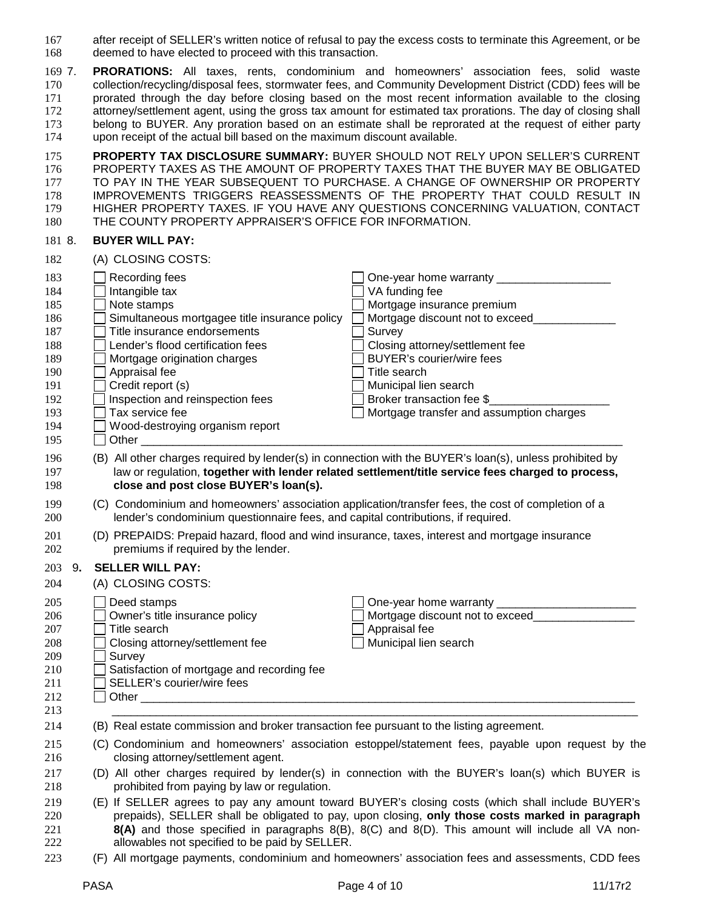after receipt of SELLER's written notice of refusal to pay the excess costs to terminate this Agreement, or be deemed to have elected to proceed with this transaction.

 7. **PRORATIONS:** All taxes, rents, condominium and homeowners' association fees, solid waste collection/recycling/disposal fees, stormwater fees, and Community Development District (CDD) fees will be prorated through the day before closing based on the most recent information available to the closing attorney/settlement agent, using the gross tax amount for estimated tax prorations. The day of closing shall belong to BUYER. Any proration based on an estimate shall be reprorated at the request of either party upon receipt of the actual bill based on the maximum discount available.

 **PROPERTY TAX DISCLOSURE SUMMARY:** BUYER SHOULD NOT RELY UPON SELLER'S CURRENT 176 PROPERTY TAXES AS THE AMOUNT OF PROPERTY TAXES THAT THE BUYER MAY BE OBLIGATED<br>177 TO PAY IN THE YEAR SUBSEQUENT TO PURCHASE. A CHANGE OF OWNERSHIP OR PROPERTY TO PAY IN THE YEAR SUBSEQUENT TO PURCHASE. A CHANGE OF OWNERSHIP OR PROPERTY IMPROVEMENTS TRIGGERS REASSESSMENTS OF THE PROPERTY THAT COULD RESULT IN 179 HIGHER PROPERTY TAXES. IF YOU HAVE ANY QUESTIONS CONCERNING VALUATION, CONTACT<br>180 THE COUNTY PROPERTY APPRAISER'S OFFICE FOR INFORMATION. THE COUNTY PROPERTY APPRAISER'S OFFICE FOR INFORMATION.

#### 8. **BUYER WILL PAY:**

| 182                                                                                     |    | (A) CLOSING COSTS:                                                                                                                                                                                                                                                                                                                    |                                                                                                                                                                                                                                                                                                                                                                                                              |
|-----------------------------------------------------------------------------------------|----|---------------------------------------------------------------------------------------------------------------------------------------------------------------------------------------------------------------------------------------------------------------------------------------------------------------------------------------|--------------------------------------------------------------------------------------------------------------------------------------------------------------------------------------------------------------------------------------------------------------------------------------------------------------------------------------------------------------------------------------------------------------|
| 183<br>184<br>185<br>186<br>187<br>188<br>189<br>190<br>191<br>192<br>193<br>194<br>195 |    | Recording fees<br>Intangible tax<br>Note stamps<br>Simultaneous mortgagee title insurance policy<br>Title insurance endorsements<br>Lender's flood certification fees<br>Mortgage origination charges<br>Appraisal fee<br>Credit report (s)<br>Inspection and reinspection fees<br>Tax service fee<br>Wood-destroying organism report | One-year home warranty ______________<br>VA funding fee<br>Mortgage insurance premium<br>Mortgage discount not to exceed_<br>Survey<br>Closing attorney/settlement fee<br><b>BUYER's courier/wire fees</b><br>Title search<br>Municipal lien search<br>Broker transaction fee \$<br>Mortgage transfer and assumption charges                                                                                 |
| 196<br>197<br>198                                                                       |    | close and post close BUYER's loan(s).                                                                                                                                                                                                                                                                                                 | (B) All other charges required by lender(s) in connection with the BUYER's loan(s), unless prohibited by<br>law or regulation, together with lender related settlement/title service fees charged to process,                                                                                                                                                                                                |
| 199<br>200                                                                              |    | lender's condominium questionnaire fees, and capital contributions, if required.                                                                                                                                                                                                                                                      | (C) Condominium and homeowners' association application/transfer fees, the cost of completion of a                                                                                                                                                                                                                                                                                                           |
| 201<br>202                                                                              |    | premiums if required by the lender.                                                                                                                                                                                                                                                                                                   | (D) PREPAIDS: Prepaid hazard, flood and wind insurance, taxes, interest and mortgage insurance                                                                                                                                                                                                                                                                                                               |
| 203<br>204                                                                              | 9. | <b>SELLER WILL PAY:</b><br>(A) CLOSING COSTS:                                                                                                                                                                                                                                                                                         |                                                                                                                                                                                                                                                                                                                                                                                                              |
| 205<br>206<br>207<br>208<br>209<br>210<br>211<br>212<br>213                             |    | Deed stamps<br>Owner's title insurance policy<br>Title search<br>Closing attorney/settlement fee<br>Survey<br>Satisfaction of mortgage and recording fee<br>SELLER's courier/wire fees                                                                                                                                                | Mortgage discount not to exceed___________<br>Appraisal fee<br>Municipal lien search                                                                                                                                                                                                                                                                                                                         |
| 214                                                                                     |    | (B) Real estate commission and broker transaction fee pursuant to the listing agreement.                                                                                                                                                                                                                                              |                                                                                                                                                                                                                                                                                                                                                                                                              |
| 215<br>216<br>217<br>218<br>219<br>220                                                  |    | closing attorney/settlement agent.<br>prohibited from paying by law or regulation.                                                                                                                                                                                                                                                    | (C) Condominium and homeowners' association estoppel/statement fees, payable upon request by the<br>(D) All other charges required by lender(s) in connection with the BUYER's loan(s) which BUYER is<br>(E) If SELLER agrees to pay any amount toward BUYER's closing costs (which shall include BUYER's<br>prepaids), SELLER shall be obligated to pay, upon closing, only those costs marked in paragraph |
| 221<br>222<br>223                                                                       |    | allowables not specified to be paid by SELLER.                                                                                                                                                                                                                                                                                        | 8(A) and those specified in paragraphs 8(B), 8(C) and 8(D). This amount will include all VA non-<br>(F) All mortgage payments, condominium and homeowners' association fees and assessments, CDD fees                                                                                                                                                                                                        |
|                                                                                         |    |                                                                                                                                                                                                                                                                                                                                       |                                                                                                                                                                                                                                                                                                                                                                                                              |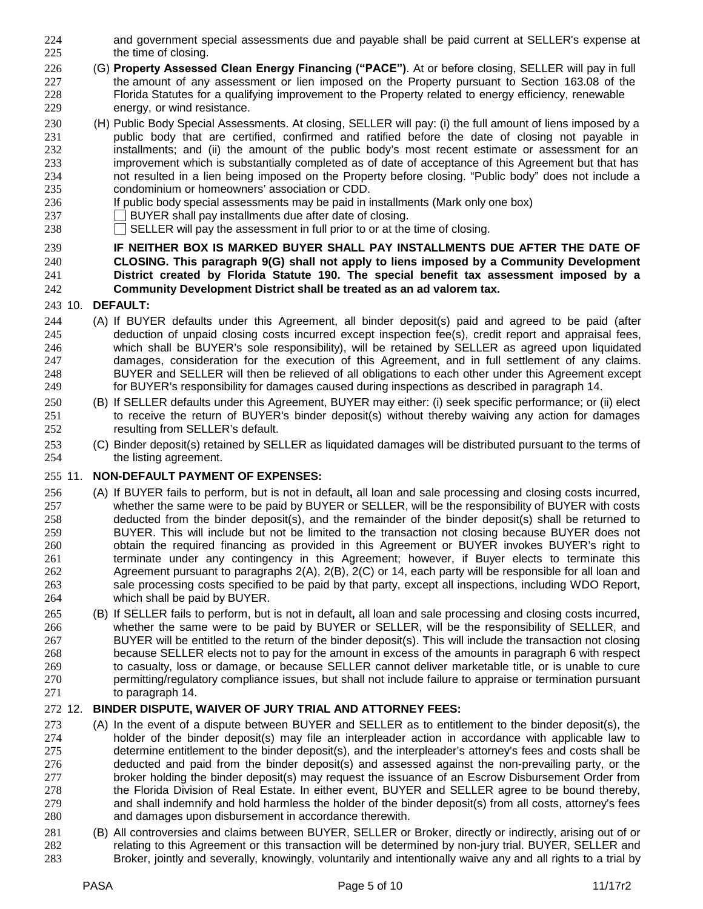- and government special assessments due and payable shall be paid current at SELLER's expense at 225 the time of closing.
- (G) **Property Assessed Clean Energy Financing ("PACE")**. At or before closing, SELLER will pay in full the amount of any assessment or lien imposed on the Property pursuant to Section 163.08 of the Florida Statutes for a qualifying improvement to the Property related to energy efficiency, renewable energy, or wind resistance.
- (H) Public Body Special Assessments. At closing, SELLER will pay: (i) the full amount of liens imposed by a public body that are certified, confirmed and ratified before the date of closing not payable in installments; and (ii) the amount of the public body's most recent estimate or assessment for an improvement which is substantially completed as of date of acceptance of this Agreement but that has not resulted in a lien being imposed on the Property before closing. "Public body" does not include a condominium or homeowners' association or CDD.
- If public body special assessments may be paid in installments (Mark only one box)
- BUYER shall pay installments due after date of closing.
- SELLER will pay the assessment in full prior to or at the time of closing.

#### **IF NEITHER BOX IS MARKED BUYER SHALL PAY INSTALLMENTS DUE AFTER THE DATE OF CLOSING. This paragraph 9(G) shall not apply to liens imposed by a Community Development District created by Florida Statute 190. The special benefit tax assessment imposed by a Community Development District shall be treated as an ad valorem tax.**

### 10. **DEFAULT:**

- (A) If BUYER defaults under this Agreement, all binder deposit(s) paid and agreed to be paid (after deduction of unpaid closing costs incurred except inspection fee(s), credit report and appraisal fees, which shall be BUYER's sole responsibility), will be retained by SELLER as agreed upon liquidated damages, consideration for the execution of this Agreement, and in full settlement of any claims. BUYER and SELLER will then be relieved of all obligations to each other under this Agreement except for BUYER's responsibility for damages caused during inspections as described in paragraph 14.
- (B) If SELLER defaults under this Agreement, BUYER may either: (i) seek specific performance; or (ii) elect to receive the return of BUYER's binder deposit(s) without thereby waiving any action for damages resulting from SELLER's default.
- (C) Binder deposit(s) retained by SELLER as liquidated damages will be distributed pursuant to the terms of the listing agreement.

### 11. **NON-DEFAULT PAYMENT OF EXPENSES:**

- (A) If BUYER fails to perform, but is not in default**,** all loan and sale processing and closing costs incurred, whether the same were to be paid by BUYER or SELLER, will be the responsibility of BUYER with costs deducted from the binder deposit(s), and the remainder of the binder deposit(s) shall be returned to BUYER. This will include but not be limited to the transaction not closing because BUYER does not obtain the required financing as provided in this Agreement or BUYER invokes BUYER's right to terminate under any contingency in this Agreement; however, if Buyer elects to terminate this Agreement pursuant to paragraphs 2(A), 2(B), 2(C) or 14, each party will be responsible for all loan and sale processing costs specified to be paid by that party, except all inspections, including WDO Report, which shall be paid by BUYER.
- (B) If SELLER fails to perform, but is not in default**,** all loan and sale processing and closing costs incurred, whether the same were to be paid by BUYER or SELLER, will be the responsibility of SELLER, and BUYER will be entitled to the return of the binder deposit(s). This will include the transaction not closing because SELLER elects not to pay for the amount in excess of the amounts in paragraph 6 with respect to casualty, loss or damage, or because SELLER cannot deliver marketable title, or is unable to cure permitting/regulatory compliance issues, but shall not include failure to appraise or termination pursuant to paragraph 14.

## 12. **BINDER DISPUTE, WAIVER OF JURY TRIAL AND ATTORNEY FEES:**

- (A) In the event of a dispute between BUYER and SELLER as to entitlement to the binder deposit(s), the holder of the binder deposit(s) may file an interpleader action in accordance with applicable law to determine entitlement to the binder deposit(s), and the interpleader's attorney's fees and costs shall be deducted and paid from the binder deposit(s) and assessed against the non-prevailing party, or the broker holding the binder deposit(s) may request the issuance of an Escrow Disbursement Order from the Florida Division of Real Estate. In either event, BUYER and SELLER agree to be bound thereby, and shall indemnify and hold harmless the holder of the binder deposit(s) from all costs, attorney's fees and damages upon disbursement in accordance therewith.
- (B) All controversies and claims between BUYER, SELLER or Broker, directly or indirectly, arising out of or relating to this Agreement or this transaction will be determined by non-jury trial. BUYER, SELLER and Broker, jointly and severally, knowingly, voluntarily and intentionally waive any and all rights to a trial by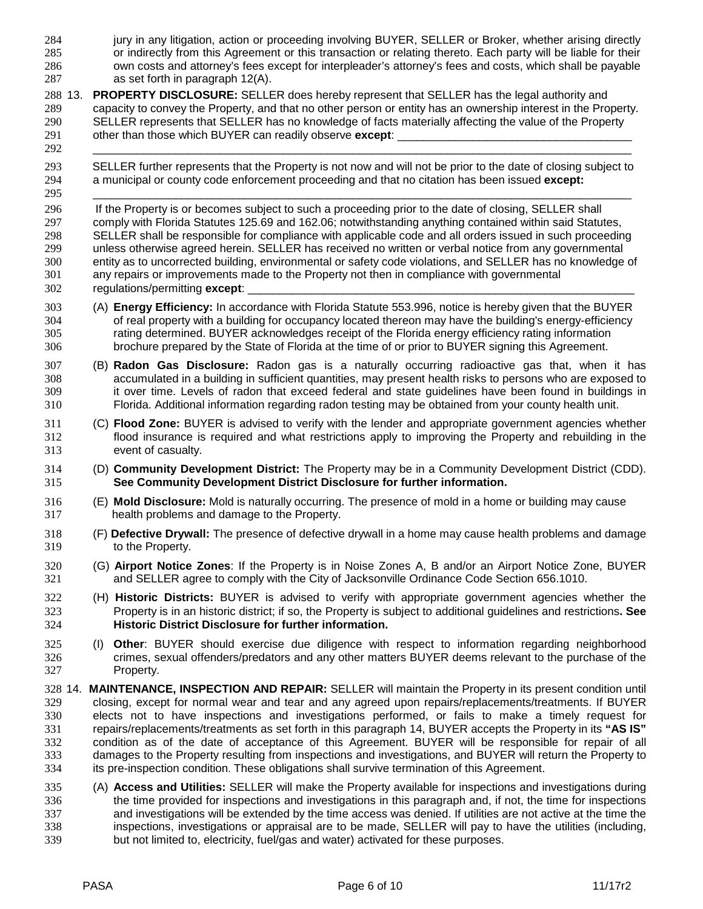jury in any litigation, action or proceeding involving BUYER, SELLER or Broker, whether arising directly or indirectly from this Agreement or this transaction or relating thereto. Each party will be liable for their own costs and attorney's fees except for interpleader's attorney's fees and costs, which shall be payable as set forth in paragraph 12(A). 13. **PROPERTY DISCLOSURE:** SELLER does hereby represent that SELLER has the legal authority and capacity to convey the Property, and that no other person or entity has an ownership interest in the Property. SELLER represents that SELLER has no knowledge of facts materially affecting the value of the Property 291 other than those which BUYER can readily observe **except**: \_\_\_\_\_\_\_\_\_\_\_\_\_\_\_\_\_\_\_\_\_\_\_\_\_\_\_\_\_\_\_\_\_\_\_\_\_\_\_\_\_\_\_\_\_\_\_\_\_\_\_\_\_\_\_\_\_\_\_\_\_\_\_\_\_\_\_\_\_\_\_\_\_\_\_\_\_\_\_\_\_\_\_\_\_ SELLER further represents that the Property is not now and will not be prior to the date of closing subject to a municipal or county code enforcement proceeding and that no citation has been issued **except:** \_\_\_\_\_\_\_\_\_\_\_\_\_\_\_\_\_\_\_\_\_\_\_\_\_\_\_\_\_\_\_\_\_\_\_\_\_\_\_\_\_\_\_\_\_\_\_\_\_\_\_\_\_\_\_\_\_\_\_\_\_\_\_\_\_\_\_\_\_\_\_\_\_\_\_\_\_\_\_\_\_\_\_\_\_ If the Property is or becomes subject to such a proceeding prior to the date of closing, SELLER shall comply with Florida Statutes 125.69 and 162.06; notwithstanding anything contained within said Statutes, SELLER shall be responsible for compliance with applicable code and all orders issued in such proceeding unless otherwise agreed herein. SELLER has received no written or verbal notice from any governmental entity as to uncorrected building, environmental or safety code violations, and SELLER has no knowledge of any repairs or improvements made to the Property not then in compliance with governmental 302 regulations/permitting except: (A) **Energy Efficiency:** In accordance with Florida Statute 553.996, notice is hereby given that the BUYER of real property with a building for occupancy located thereon may have the building's energy-efficiency 305 rating determined. BUYER acknowledges receipt of the Florida energy efficiency rating information<br>306 brochure prepared by the State of Florida at the time of or prior to BUYER signing this Agreement. brochure prepared by the State of Florida at the time of or prior to BUYER signing this Agreement. (B) **Radon Gas Disclosure:** Radon gas is a naturally occurring radioactive gas that, when it has accumulated in a building in sufficient quantities, may present health risks to persons who are exposed to it over time. Levels of radon that exceed federal and state guidelines have been found in buildings in Florida. Additional information regarding radon testing may be obtained from your county health unit. (C) **Flood Zone:** BUYER is advised to verify with the lender and appropriate government agencies whether flood insurance is required and what restrictions apply to improving the Property and rebuilding in the event of casualty. (D) **Community Development District:** The Property may be in a Community Development District (CDD). **See Community Development District Disclosure for further information.** (E) **Mold Disclosure:** Mold is naturally occurring. The presence of mold in a home or building may cause health problems and damage to the Property. (F) **Defective Drywall:** The presence of defective drywall in a home may cause health problems and damage to the Property. (G) **Airport Notice Zones**: If the Property is in Noise Zones A, B and/or an Airport Notice Zone, BUYER and SELLER agree to comply with the City of Jacksonville Ordinance Code Section 656.1010. (H) **Historic Districts:** BUYER is advised to verify with appropriate government agencies whether the Property is in an historic district; if so, the Property is subject to additional guidelines and restrictions**. See Historic District Disclosure for further information.** (I) **Other**: BUYER should exercise due diligence with respect to information regarding neighborhood crimes, sexual offenders/predators and any other matters BUYER deems relevant to the purchase of the Property. 14. **MAINTENANCE, INSPECTION AND REPAIR:** SELLER will maintain the Property in its present condition until closing, except for normal wear and tear and any agreed upon repairs/replacements/treatments. If BUYER elects not to have inspections and investigations performed, or fails to make a timely request for repairs/replacements/treatments as set forth in this paragraph 14, BUYER accepts the Property in its **"AS IS"** condition as of the date of acceptance of this Agreement. BUYER will be responsible for repair of all damages to the Property resulting from inspections and investigations, and BUYER will return the Property to its pre-inspection condition. These obligations shall survive termination of this Agreement. (A) **Access and Utilities:** SELLER will make the Property available for inspections and investigations during the time provided for inspections and investigations in this paragraph and, if not, the time for inspections and investigations will be extended by the time access was denied. If utilities are not active at the time the inspections, investigations or appraisal are to be made, SELLER will pay to have the utilities (including, but not limited to, electricity, fuel/gas and water) activated for these purposes.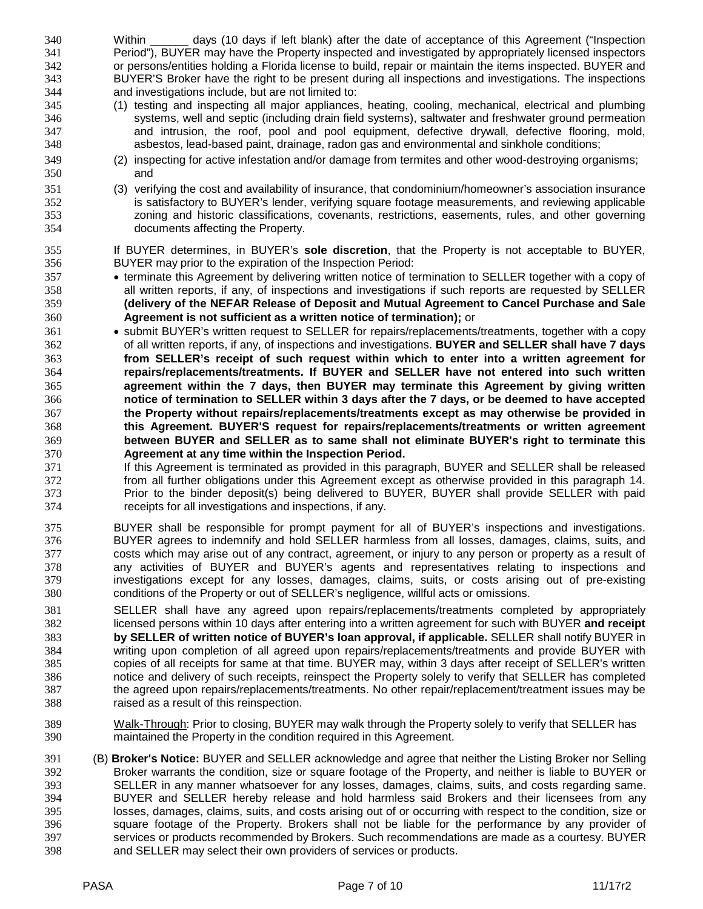Within \_\_\_\_\_\_ days (10 days if left blank) after the date of acceptance of this Agreement ("Inspection Period"), BUYER may have the Property inspected and investigated by appropriately licensed inspectors or persons/entities holding a Florida license to build, repair or maintain the items inspected. BUYER and BUYER'S Broker have the right to be present during all inspections and investigations. The inspections and investigations include, but are not limited to:

- (1) testing and inspecting all major appliances, heating, cooling, mechanical, electrical and plumbing systems, well and septic (including drain field systems), saltwater and freshwater ground permeation and intrusion, the roof, pool and pool equipment, defective drywall, defective flooring, mold, asbestos, lead-based paint, drainage, radon gas and environmental and sinkhole conditions;
- (2) inspecting for active infestation and/or damage from termites and other wood-destroying organisms; and
- (3) verifying the cost and availability of insurance, that condominium/homeowner's association insurance is satisfactory to BUYER's lender, verifying square footage measurements, and reviewing applicable zoning and historic classifications, covenants, restrictions, easements, rules, and other governing documents affecting the Property.

 If BUYER determines, in BUYER's **sole discretion**, that the Property is not acceptable to BUYER, BUYER may prior to the expiration of the Inspection Period:

- terminate this Agreement by delivering written notice of termination to SELLER together with a copy of all written reports, if any, of inspections and investigations if such reports are requested by SELLER **(delivery of the NEFAR Release of Deposit and Mutual Agreement to Cancel Purchase and Sale Agreement is not sufficient as a written notice of termination);** or
- submit BUYER's written request to SELLER for repairs/replacements/treatments, together with a copy of all written reports, if any, of inspections and investigations. **BUYER and SELLER shall have 7 days from SELLER's receipt of such request within which to enter into a written agreement for repairs/replacements/treatments. If BUYER and SELLER have not entered into such written agreement within the 7 days, then BUYER may terminate this Agreement by giving written notice of termination to SELLER within 3 days after the 7 days, or be deemed to have accepted the Property without repairs/replacements/treatments except as may otherwise be provided in this Agreement. BUYER'S request for repairs/replacements/treatments or written agreement between BUYER and SELLER as to same shall not eliminate BUYER's right to terminate this Agreement at any time within the Inspection Period.**
- If this Agreement is terminated as provided in this paragraph, BUYER and SELLER shall be released from all further obligations under this Agreement except as otherwise provided in this paragraph 14. Prior to the binder deposit(s) being delivered to BUYER, BUYER shall provide SELLER with paid receipts for all investigations and inspections, if any.
- BUYER shall be responsible for prompt payment for all of BUYER's inspections and investigations. BUYER agrees to indemnify and hold SELLER harmless from all losses, damages, claims, suits, and costs which may arise out of any contract, agreement, or injury to any person or property as a result of any activities of BUYER and BUYER's agents and representatives relating to inspections and investigations except for any losses, damages, claims, suits, or costs arising out of pre-existing conditions of the Property or out of SELLER's negligence, willful acts or omissions.
- SELLER shall have any agreed upon repairs/replacements/treatments completed by appropriately licensed persons within 10 days after entering into a written agreement for such with BUYER **and receipt by SELLER of written notice of BUYER's loan approval, if applicable.** SELLER shall notify BUYER in writing upon completion of all agreed upon repairs/replacements/treatments and provide BUYER with copies of all receipts for same at that time. BUYER may, within 3 days after receipt of SELLER's written notice and delivery of such receipts, reinspect the Property solely to verify that SELLER has completed the agreed upon repairs/replacements/treatments. No other repair/replacement/treatment issues may be raised as a result of this reinspection.
- Walk-Through: Prior to closing, BUYER may walk through the Property solely to verify that SELLER has maintained the Property in the condition required in this Agreement.
- (B) **Broker's Notice:** BUYER and SELLER acknowledge and agree that neither the Listing Broker nor Selling Broker warrants the condition, size or square footage of the Property, and neither is liable to BUYER or SELLER in any manner whatsoever for any losses, damages, claims, suits, and costs regarding same. BUYER and SELLER hereby release and hold harmless said Brokers and their licensees from any losses, damages, claims, suits, and costs arising out of or occurring with respect to the condition, size or square footage of the Property. Brokers shall not be liable for the performance by any provider of services or products recommended by Brokers. Such recommendations are made as a courtesy. BUYER and SELLER may select their own providers of services or products.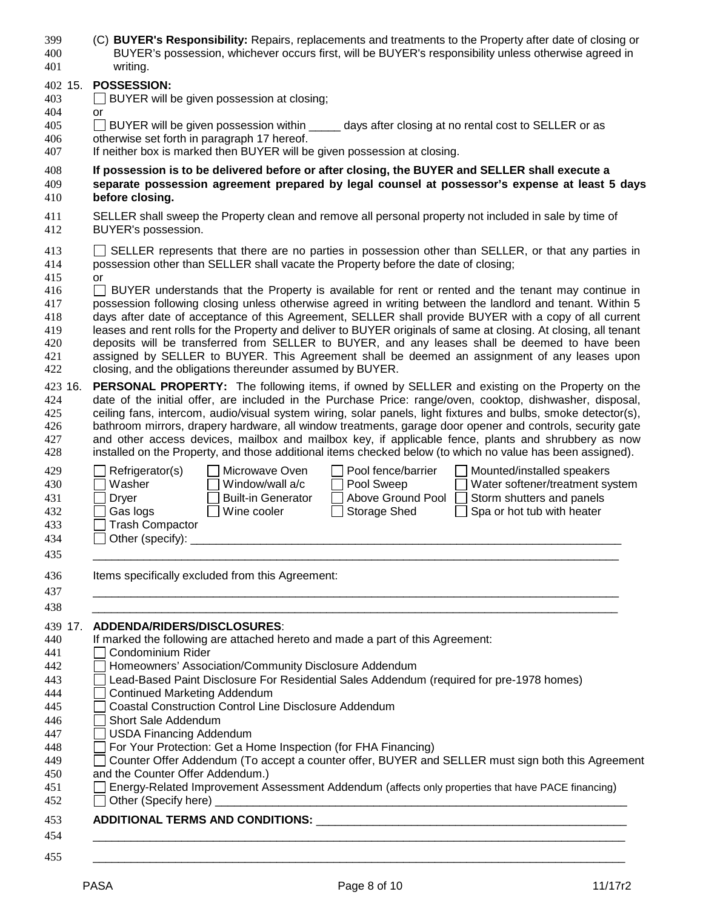| 399<br>400<br>401 | (C) BUYER's Responsibility: Repairs, replacements and treatments to the Property after date of closing or<br>BUYER's possession, whichever occurs first, will be BUYER's responsibility unless otherwise agreed in<br>writing. |
|-------------------|--------------------------------------------------------------------------------------------------------------------------------------------------------------------------------------------------------------------------------|
|                   |                                                                                                                                                                                                                                |
| 402 15.           | <b>POSSESSION:</b>                                                                                                                                                                                                             |
| 403               | BUYER will be given possession at closing;                                                                                                                                                                                     |
| 404               | or                                                                                                                                                                                                                             |
| 405               | BUYER will be given possession within ______ days after closing at no rental cost to SELLER or as<br>otherwise set forth in paragraph 17 hereof.                                                                               |
| 406<br>407        | If neither box is marked then BUYER will be given possession at closing.                                                                                                                                                       |
|                   |                                                                                                                                                                                                                                |
| 408               | If possession is to be delivered before or after closing, the BUYER and SELLER shall execute a                                                                                                                                 |
| 409               | separate possession agreement prepared by legal counsel at possessor's expense at least 5 days                                                                                                                                 |
| 410               | before closing.                                                                                                                                                                                                                |
| 411               | SELLER shall sweep the Property clean and remove all personal property not included in sale by time of                                                                                                                         |
| 412               | BUYER's possession.                                                                                                                                                                                                            |
| 413               | SELLER represents that there are no parties in possession other than SELLER, or that any parties in                                                                                                                            |
| 414               | possession other than SELLER shall vacate the Property before the date of closing;                                                                                                                                             |
| 415               | <b>or</b>                                                                                                                                                                                                                      |
| 416               | BUYER understands that the Property is available for rent or rented and the tenant may continue in                                                                                                                             |
| 417               | possession following closing unless otherwise agreed in writing between the landlord and tenant. Within 5                                                                                                                      |
| 418               | days after date of acceptance of this Agreement, SELLER shall provide BUYER with a copy of all current                                                                                                                         |
| 419               | leases and rent rolls for the Property and deliver to BUYER originals of same at closing. At closing, all tenant                                                                                                               |
| 420               | deposits will be transferred from SELLER to BUYER, and any leases shall be deemed to have been                                                                                                                                 |
| 421               | assigned by SELLER to BUYER. This Agreement shall be deemed an assignment of any leases upon                                                                                                                                   |
| 422               | closing, and the obligations thereunder assumed by BUYER.                                                                                                                                                                      |
| 423 16.           | <b>PERSONAL PROPERTY:</b> The following items, if owned by SELLER and existing on the Property on the                                                                                                                          |
| 424               | date of the initial offer, are included in the Purchase Price: range/oven, cooktop, dishwasher, disposal,                                                                                                                      |
| 425               | ceiling fans, intercom, audio/visual system wiring, solar panels, light fixtures and bulbs, smoke detector(s),                                                                                                                 |
| 426               | bathroom mirrors, drapery hardware, all window treatments, garage door opener and controls, security gate                                                                                                                      |
| 427               | and other access devices, mailbox and mailbox key, if applicable fence, plants and shrubbery as now                                                                                                                            |
| 428               | installed on the Property, and those additional items checked below (to which no value has been assigned).                                                                                                                     |
| 429               | Microwave Oven<br>Pool fence/barrier<br>Refrigerator(s)<br>Mounted/installed speakers                                                                                                                                          |
| 430               | Washer<br>Water softener/treatment system<br>Window/wall a/c<br>Pool Sweep                                                                                                                                                     |
| 431               | Above Ground Pool<br><b>Built-in Generator</b><br>Storm shutters and panels<br><b>Dryer</b>                                                                                                                                    |
| 432               | Gas logs<br>Wine cooler<br><b>Storage Shed</b><br>Spa or hot tub with heater                                                                                                                                                   |
| 433               | <b>Trash Compactor</b>                                                                                                                                                                                                         |
| 434               | $\Box$ Other (specify): $\_\_$                                                                                                                                                                                                 |
| 435               |                                                                                                                                                                                                                                |
|                   |                                                                                                                                                                                                                                |
| 436               | Items specifically excluded from this Agreement:                                                                                                                                                                               |
| 437               |                                                                                                                                                                                                                                |
| 438               |                                                                                                                                                                                                                                |
| 439 17.           | ADDENDA/RIDERS/DISCLOSURES:                                                                                                                                                                                                    |
| 440               | If marked the following are attached hereto and made a part of this Agreement:                                                                                                                                                 |
| 441               | Condominium Rider                                                                                                                                                                                                              |
| 442               | Homeowners' Association/Community Disclosure Addendum                                                                                                                                                                          |
| 443               | Lead-Based Paint Disclosure For Residential Sales Addendum (required for pre-1978 homes)                                                                                                                                       |
| 444               | <b>Continued Marketing Addendum</b>                                                                                                                                                                                            |
| 445               | <b>Coastal Construction Control Line Disclosure Addendum</b>                                                                                                                                                                   |
| 446               | Short Sale Addendum                                                                                                                                                                                                            |
| 447               | <b>USDA Financing Addendum</b>                                                                                                                                                                                                 |
| 448               | For Your Protection: Get a Home Inspection (for FHA Financing)                                                                                                                                                                 |
| 449               | Counter Offer Addendum (To accept a counter offer, BUYER and SELLER must sign both this Agreement                                                                                                                              |
| 450               | and the Counter Offer Addendum.)                                                                                                                                                                                               |

- Energy-Related Improvement Assessment Addendum (affects only properties that have PACE financing)
- Other (Specify here) \_\_\_\_\_\_\_\_\_\_\_\_\_\_\_\_\_\_\_\_\_\_\_\_\_\_\_\_\_\_\_\_\_\_\_\_\_\_\_\_\_\_\_\_\_\_\_\_\_\_\_\_\_\_\_\_\_\_\_\_\_\_\_\_\_

# **ADDITIONAL TERMS AND CONDITIONS:** \_\_\_\_\_\_\_\_\_\_\_\_\_\_\_\_\_\_\_\_\_\_\_\_\_\_\_\_\_\_\_\_\_\_\_\_\_\_\_\_\_\_\_\_\_\_\_\_\_

 \_\_\_\_\_\_\_\_\_\_\_\_\_\_\_\_\_\_\_\_\_\_\_\_\_\_\_\_\_\_\_\_\_\_\_\_\_\_\_\_\_\_\_\_\_\_\_\_\_\_\_\_\_\_\_\_\_\_\_\_\_\_\_\_\_\_\_\_\_\_\_\_\_\_\_\_\_\_\_\_\_\_\_\_ \_\_\_\_\_\_\_\_\_\_\_\_\_\_\_\_\_\_\_\_\_\_\_\_\_\_\_\_\_\_\_\_\_\_\_\_\_\_\_\_\_\_\_\_\_\_\_\_\_\_\_\_\_\_\_\_\_\_\_\_\_\_\_\_\_\_\_\_\_\_\_\_\_\_\_\_\_\_\_\_\_\_\_\_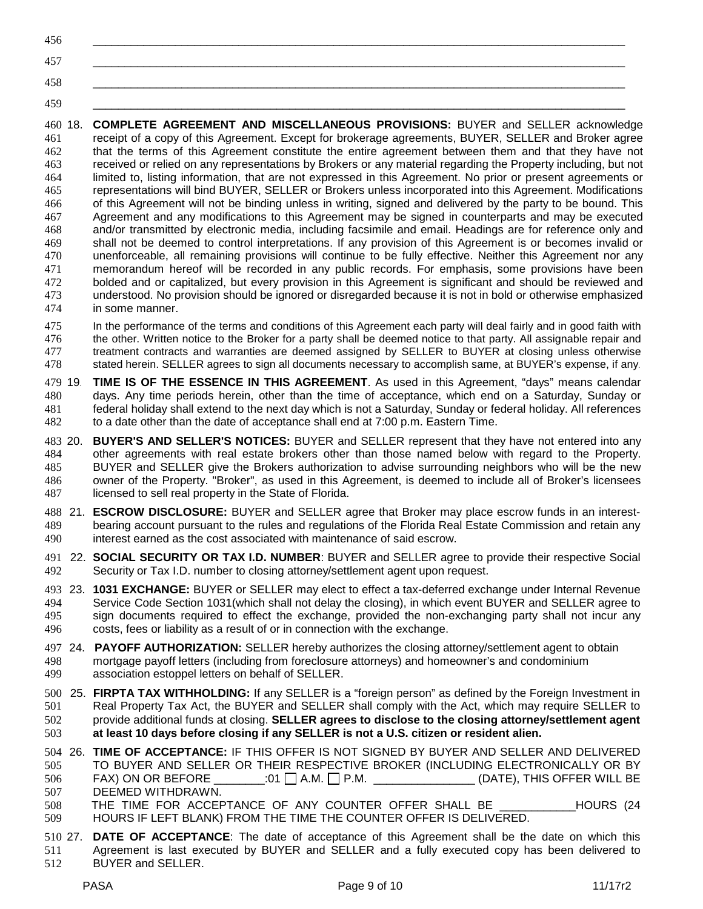| 456 |  |
|-----|--|
| 457 |  |
| 458 |  |

\_\_\_\_\_\_\_\_\_\_\_\_\_\_\_\_\_\_\_\_\_\_\_\_\_\_\_\_\_\_\_\_\_\_\_\_\_\_\_\_\_\_\_\_\_\_\_\_\_\_\_\_\_\_\_\_\_\_\_\_\_\_\_\_\_\_\_\_\_\_\_\_\_\_\_\_\_\_\_\_\_\_\_\_

 18. **COMPLETE AGREEMENT AND MISCELLANEOUS PROVISIONS:** BUYER and SELLER acknowledge receipt of a copy of this Agreement. Except for brokerage agreements, BUYER, SELLER and Broker agree that the terms of this Agreement constitute the entire agreement between them and that they have not received or relied on any representations by Brokers or any material regarding the Property including, but not limited to, listing information, that are not expressed in this Agreement. No prior or present agreements or representations will bind BUYER, SELLER or Brokers unless incorporated into this Agreement. Modifications of this Agreement will not be binding unless in writing, signed and delivered by the party to be bound. This Agreement and any modifications to this Agreement may be signed in counterparts and may be executed and/or transmitted by electronic media, including facsimile and email. Headings are for reference only and shall not be deemed to control interpretations. If any provision of this Agreement is or becomes invalid or unenforceable, all remaining provisions will continue to be fully effective. Neither this Agreement nor any memorandum hereof will be recorded in any public records. For emphasis, some provisions have been bolded and or capitalized, but every provision in this Agreement is significant and should be reviewed and understood. No provision should be ignored or disregarded because it is not in bold or otherwise emphasized in some manner.

 In the performance of the terms and conditions of this Agreement each party will deal fairly and in good faith with the other. Written notice to the Broker for a party shall be deemed notice to that party. All assignable repair and treatment contracts and warranties are deemed assigned by SELLER to BUYER at closing unless otherwise stated herein. SELLER agrees to sign all documents necessary to accomplish same, at BUYER's expense, if any.

 19. **TIME IS OF THE ESSENCE IN THIS AGREEMENT**. As used in this Agreement, "days" means calendar days. Any time periods herein, other than the time of acceptance, which end on a Saturday, Sunday or federal holiday shall extend to the next day which is not a Saturday, Sunday or federal holiday. All references to a date other than the date of acceptance shall end at 7:00 p.m. Eastern Time.

 20. **BUYER'S AND SELLER'S NOTICES:** BUYER and SELLER represent that they have not entered into any other agreements with real estate brokers other than those named below with regard to the Property. BUYER and SELLER give the Brokers authorization to advise surrounding neighbors who will be the new owner of the Property. "Broker", as used in this Agreement, is deemed to include all of Broker's licensees licensed to sell real property in the State of Florida.

 21. **ESCROW DISCLOSURE:** BUYER and SELLER agree that Broker may place escrow funds in an interest- bearing account pursuant to the rules and regulations of the Florida Real Estate Commission and retain any interest earned as the cost associated with maintenance of said escrow.

 22. **SOCIAL SECURITY OR TAX I.D. NUMBER**: BUYER and SELLER agree to provide their respective Social Security or Tax I.D. number to closing attorney/settlement agent upon request.

 23. **1031 EXCHANGE:** BUYER or SELLER may elect to effect a tax-deferred exchange under Internal Revenue Service Code Section 1031(which shall not delay the closing), in which event BUYER and SELLER agree to sign documents required to effect the exchange, provided the non-exchanging party shall not incur any costs, fees or liability as a result of or in connection with the exchange.

- 24. **PAYOFF AUTHORIZATION:** SELLER hereby authorizes the closing attorney/settlement agent to obtain mortgage payoff letters (including from foreclosure attorneys) and homeowner's and condominium association estoppel letters on behalf of SELLER.
- 25. **FIRPTA TAX WITHHOLDING:** If any SELLER is a "foreign person" as defined by the Foreign Investment in Real Property Tax Act, the BUYER and SELLER shall comply with the Act, which may require SELLER to provide additional funds at closing. **SELLER agrees to disclose to the closing attorney/settlement agent at least 10 days before closing if any SELLER is not a U.S. citizen or resident alien.**

 26. **TIME OF ACCEPTANCE:** IF THIS OFFER IS NOT SIGNED BY BUYER AND SELLER AND DELIVERED TO BUYER AND SELLER OR THEIR RESPECTIVE BROKER (INCLUDING ELECTRONICALLY OR BY FAX) ON OR BEFORE  $101$   $1$  A.M.  $1$  P.M.  $200$   $($  DATE), THIS OFFER WILL BE DEEMED WITHDRAWN.

508 THE TIME FOR ACCEPTANCE OF ANY COUNTER OFFER SHALL BE **THE HOURS** (24 HOURS IF LEFT BLANK) FROM THE TIME THE COUNTER OFFER IS DELIVERED.

 27. **DATE OF ACCEPTANCE**: The date of acceptance of this Agreement shall be the date on which this Agreement is last executed by BUYER and SELLER and a fully executed copy has been delivered to BUYER and SELLER.